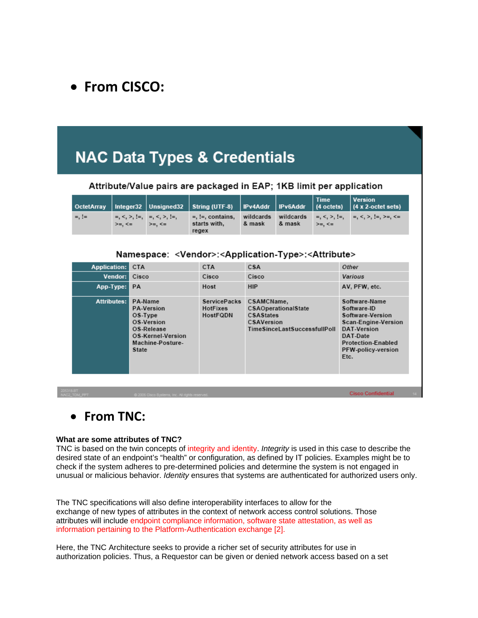### • **From CISCO:**

# **NAC Data Types & Credentials**

#### Attribute/Value pairs are packaged in EAP; 1KB limit per application

|            |                                                      |               |                                              |                     |        | <b>Time</b> | Version<br>  OctetArray   Integer32   Unsigned32   String (UTF-8)   IPv4Addr   IPv6Addr   (4 octets)   (4 x 2-octet sets) |
|------------|------------------------------------------------------|---------------|----------------------------------------------|---------------------|--------|-------------|---------------------------------------------------------------------------------------------------------------------------|
| $=$ , $!=$ | $=, \leq, \geq, \{=, -=, \leq, \geq, \}$<br>$>= < =$ | $>=$ , $\leq$ | $=$ . !=. contains.<br>starts with.<br>regex | wildcards<br>& mask | & mask | $>= < =$    | wildcards =, <, >, !=, =, <, >, !=, >=, <=                                                                                |

#### Namespace: <Vendor>:<Application-Type>:<Attribute>

| <b>Application:</b><br>Vendor: I<br>App-Type:                                                          | <b>CTA</b><br>Cisco<br>PA                                                                                                    | <b>CTA</b><br>Cisco<br>Host                        | CSA<br>Cisco<br><b>HIP</b>                                                                   | Other<br>Various<br>AV, PFW, etc.                                                                                                                             |  |  |  |  |  |
|--------------------------------------------------------------------------------------------------------|------------------------------------------------------------------------------------------------------------------------------|----------------------------------------------------|----------------------------------------------------------------------------------------------|---------------------------------------------------------------------------------------------------------------------------------------------------------------|--|--|--|--|--|
| Attributes:                                                                                            | PA-Name<br><b>PA-Version</b><br>OS-Type<br>OS-Version<br>OS-Release<br>OS-Kernel-Version<br>Machine-Posture-<br><b>State</b> | <b>ServicePacks</b><br><b>HotFixes</b><br>HostFQDN | CSAMCName,<br>CSAOperationalState<br>CSAStates<br>CSAVersion<br>TimeSinceLastSuccessfullPoll | Software-Name<br>Software-ID<br>Software-Version<br>Scan-Engine-Version<br>DAT-Version<br>DAT-Date<br><b>Protection-Enabled</b><br>PFW-policy-version<br>Etc. |  |  |  |  |  |
| <b>B.BT</b><br><b>Cisco Confidential</b><br>TOM_PPT<br>@ 2005 Cisco Systems, Inc. All rights reserved. |                                                                                                                              |                                                    |                                                                                              |                                                                                                                                                               |  |  |  |  |  |

### • **From TNC:**

#### **What are some attributes of TNC?**

TNC is based on the twin concepts of integrity and identity. *Integrity* is used in this case to describe the desired state of an endpoint's "health" or configuration, as defined by IT policies. Examples might be to check if the system adheres to pre-determined policies and determine the system is not engaged in unusual or malicious behavior. *Identity* ensures that systems are authenticated for authorized users only.

The TNC specifications will also define interoperability interfaces to allow for the exchange of new types of attributes in the context of network access control solutions. Those attributes will include endpoint compliance information, software state attestation, as well as information pertaining to the Platform-Authentication exchange [2].

Here, the TNC Architecture seeks to provide a richer set of security attributes for use in authorization policies. Thus, a Requestor can be given or denied network access based on a set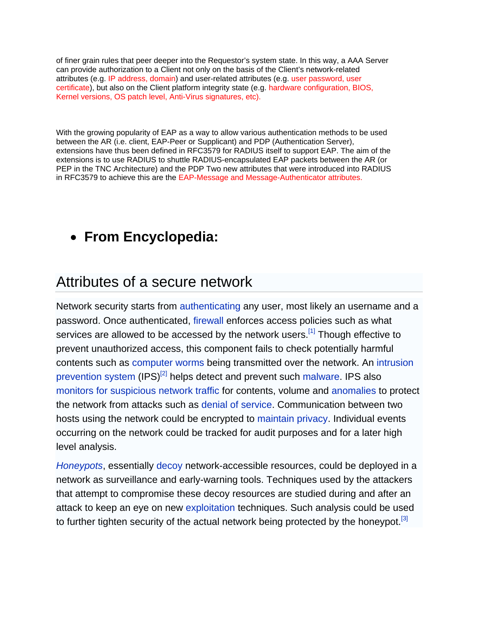of finer grain rules that peer deeper into the Requestor's system state. In this way, a AAA Server can provide authorization to a Client not only on the basis of the Client's network-related attributes (e.g. IP address, domain) and user-related attributes (e.g. user password, user certificate), but also on the Client platform integrity state (e.g. hardware configuration, BIOS, Kernel versions, OS patch level, Anti-Virus signatures, etc).

With the growing popularity of EAP as a way to allow various authentication methods to be used between the AR (i.e. client, EAP-Peer or Supplicant) and PDP (Authentication Server), extensions have thus been defined in RFC3579 for RADIUS itself to support EAP. The aim of the extensions is to use RADIUS to shuttle RADIUS-encapsulated EAP packets between the AR (or PEP in the TNC Architecture) and the PDP Two new attributes that were introduced into RADIUS in RFC3579 to achieve this are the EAP-Message and Message-Authenticator attributes.

## • **From Encyclopedia:**

## Attributes of a secure network

Network security starts from authenticating any user, most likely an username and a password. Once authenticated, firewall enforces access policies such as what services are allowed to be accessed by the network users.<sup>[1]</sup> Though effective to prevent unauthorized access, this component fails to check potentially harmful contents such as computer worms being transmitted over the network. An intrusion prevention system (IPS)<sup>[2]</sup> helps detect and prevent such malware. IPS also monitors for suspicious network traffic for contents, volume and anomalies to protect the network from attacks such as denial of service. Communication between two hosts using the network could be encrypted to maintain privacy. Individual events occurring on the network could be tracked for audit purposes and for a later high level analysis.

*Honeypots*, essentially decoy network-accessible resources, could be deployed in a network as surveillance and early-warning tools. Techniques used by the attackers that attempt to compromise these decoy resources are studied during and after an attack to keep an eye on new exploitation techniques. Such analysis could be used to further tighten security of the actual network being protected by the honeypot.<sup>[3]</sup>